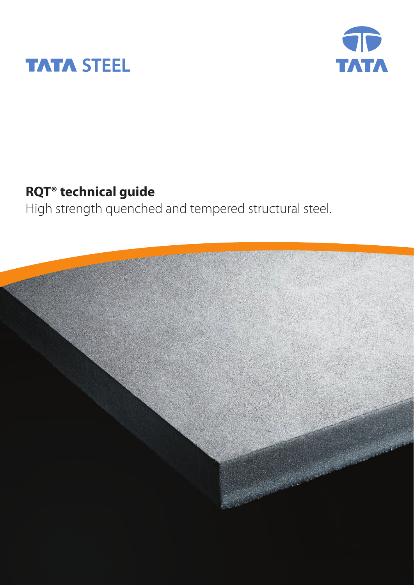



### **RQT® technical guide**

High strength quenched and tempered structural steel.

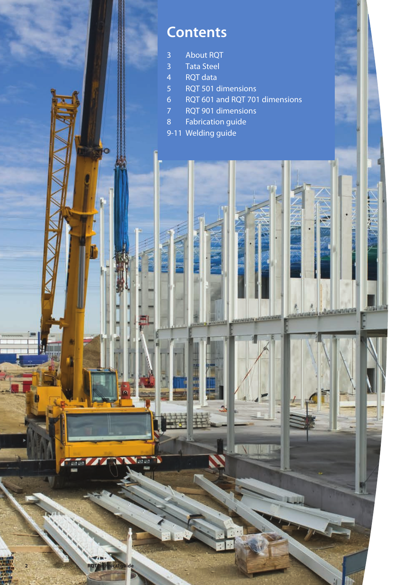### **Contents**

- About RQT
- Tata Steel
- RQT data

**RQT technical guide**

۷Ţ.

- RQT 501 dimensions
- RQT 601 and RQT 701 dimensions

*<u>aislandormacia</u>* 

**Guiatat** 

- RQT 901 dimensions
- Fabrication guide
- 9-11 Welding guide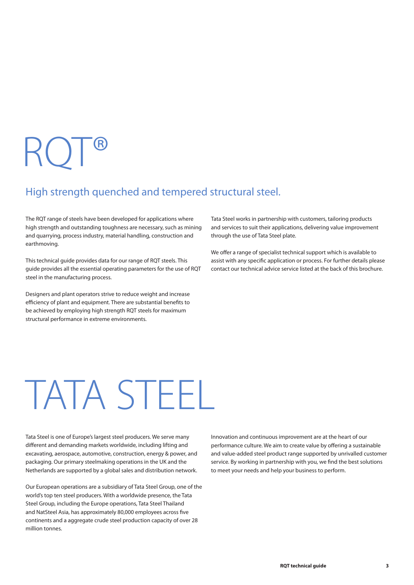# RQT®

### High strength quenched and tempered structural steel.

The RQT range of steels have been developed for applications where high strength and outstanding toughness are necessary, such as mining and quarrying, process industry, material handling, construction and earthmoving.

This technical guide provides data for our range of RQT steels. This guide provides all the essential operating parameters for the use of RQT steel in the manufacturing process.

Designers and plant operators strive to reduce weight and increase efficiency of plant and equipment. There are substantial benefits to be achieved by employing high strength RQT steels for maximum structural performance in extreme environments.

Tata Steel works in partnership with customers, tailoring products and services to suit their applications, delivering value improvement through the use of Tata Steel plate.

We offer a range of specialist technical support which is available to assist with any specific application or process. For further details please contact our technical advice service listed at the back of this brochure.

# TATA STEEL

Tata Steel is one of Europe's largest steel producers. We serve many different and demanding markets worldwide, including lifting and excavating, aerospace, automotive, construction, energy & power, and packaging. Our primary steelmaking operations in the UK and the Netherlands are supported by a global sales and distribution network.

Our European operations are a subsidiary of Tata Steel Group, one of the world's top ten steel producers. With a worldwide presence, the Tata Steel Group, including the Europe operations, Tata Steel Thailand and NatSteel Asia, has approximately 80,000 employees across five continents and a aggregate crude steel production capacity of over 28 million tonnes.

Innovation and continuous improvement are at the heart of our performance culture. We aim to create value by offering a sustainable and value-added steel product range supported by unrivalled customer service. By working in partnership with you, we find the best solutions to meet your needs and help your business to perform.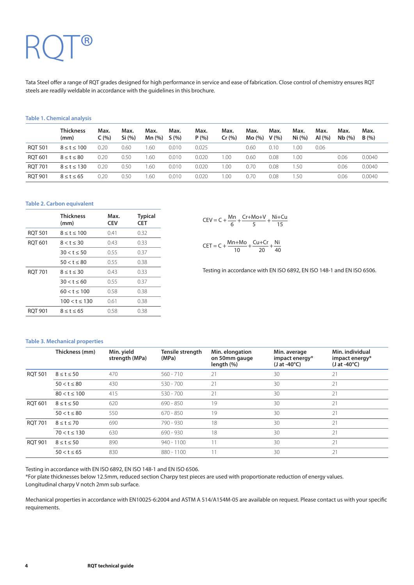## RQT®

Tata Steel offer a range of RQT grades designed for high performance in service and ease of fabrication. Close control of chemistry ensures RQT steels are readily weldable in accordance with the guidelines in this brochure.

#### **Table 1. Chemical analysis**

|                | <b>Thickness</b><br>(mm) | Max.<br>C(%) | Max.<br>Si (%) | Max.<br>Mn (%) | Max.<br>S(%) | Max.<br>P(% ) | Max.<br>Cr(%) | Max.<br>Mo (%) | Max.<br>V(% ) | Max.<br>Ni (%) | Max.<br>Al $(%$ | Max.<br>Nb(%) | Max.<br>B(%) |
|----------------|--------------------------|--------------|----------------|----------------|--------------|---------------|---------------|----------------|---------------|----------------|-----------------|---------------|--------------|
| <b>ROT 501</b> | $8 \le t \le 100$        | 0.20         | 0.60           | 1.60           | 0.010        | 0.025         |               | 0.60           | 0.10          | .00            | 0.06            |               |              |
| <b>ROT 601</b> | $8 \leq t \leq 80$       | 0.20         | 0.50           | 1.60           | 0.010        | 0.020         | .00           | 0.60           | 0.08          | .00            |                 | 0.06          | 0.0040       |
| <b>RQT 701</b> | $8 \leq t \leq 130$      | 0.20         | 0.50           | 1.60           | 0.010        | 0.020         | .00.          | 0.70           | 0.08          | .50            |                 | 0.06          | 0.0040       |
| <b>RQT 901</b> | $8 \leq t \leq 65$       | 0.20         | 0.50           | 1.60           | 0.010        | 0.020         | 00.           | 0.70           | 0.08          | .50            |                 | 0.06          | 0.0040       |

#### **Table 2. Carbon equivalent**

|                | <b>Thickness</b><br>(mm) | Max.<br><b>CEV</b> | <b>Typical</b><br><b>CET</b> |
|----------------|--------------------------|--------------------|------------------------------|
| <b>ROT 501</b> | $8 \leq t \leq 100$      | 0.41               | 0.32                         |
| <b>RQT 601</b> | $8 < t \leq 30$          | 0.43               | 0.33                         |
|                | $30 < t \le 50$          | 0.55               | 0.37                         |
|                | $50 < t \leq 80$         | 0.55               | 0.38                         |
| <b>ROT 701</b> | $8 \leq t \leq 30$       | 0.43               | 0.33                         |
|                | $30 < t \leq 60$         | 0.55               | 0.37                         |
|                | $60 < t \leq 100$        | 0.58               | 0.38                         |
|                | $100 < t \leq 130$       | 0.61               | 0.38                         |
| ROT 901        | $8 \leq t \leq 65$       | 0.58               | 0.38                         |

|  | $CEV = C + \frac{Mn}{r} + \frac{Cr + Mo + V}{r} + \frac{Ni + Cu}{r}$ |    |
|--|----------------------------------------------------------------------|----|
|  |                                                                      | 15 |

 $C + \frac{Mn+Mo}{10} + \frac{Cu+Cr}{20} + \frac{Ni}{40}$ CET = C +  $\frac{100 + 100}{10}$  +  $\frac{100 + 100}{20}$  +  $\frac{100}{40}$ 

Testing in accordance with EN ISO 6892, EN ISO 148-1 and EN ISO 6506.

#### **Table 3. Mechanical properties**

|                | Thickness (mm)     | Min. yield<br>strength (MPa) | Tensile strength<br>(MPa) | Min. elongation<br>on 50mm gauge<br>length (%) | Min. average<br>impact energy*<br>$(J at -40^{\circ}C)$ | Min. individual<br>impact energy*<br>$(J at -40^{\circ}C)$ |
|----------------|--------------------|------------------------------|---------------------------|------------------------------------------------|---------------------------------------------------------|------------------------------------------------------------|
| <b>RQT 501</b> | $8 \leq t \leq 50$ | 470                          | $560 - 710$               | 21                                             | 30                                                      | 21                                                         |
|                | $50 < t \le 80$    | 430                          | $530 - 700$               | 21                                             | 30                                                      | 21                                                         |
|                | $80 < t \le 100$   | 415                          | $530 - 700$               | 21                                             | 30                                                      | 21                                                         |
| <b>ROT 601</b> | $8 \leq t \leq 50$ | 620                          | $690 - 850$               | 19                                             | 30                                                      | 21                                                         |
|                | $50 < t \le 80$    | 550                          | $670 - 850$               | 19                                             | 30                                                      | 21                                                         |
| <b>RQT 701</b> | $8 \leq t \leq 70$ | 690                          | 790 - 930                 | 18                                             | 30                                                      | 21                                                         |
|                | $70 < t \le 130$   | 630                          | $690 - 930$               | 18                                             | 30                                                      | 21                                                         |
| <b>ROT 901</b> | $8 \leq t \leq 50$ | 890                          | $940 - 1100$              | 11                                             | 30                                                      | 21                                                         |
|                | $50 < t \le 65$    | 830                          | 880 - 1100                | 11                                             | 30                                                      | 21                                                         |

Testing in accordance with EN ISO 6892, EN ISO 148-1 and EN ISO 6506.

\*For plate thicknesses below 12.5mm, reduced section Charpy test pieces are used with proportionate reduction of energy values. Longitudinal charpy V notch 2mm sub surface.

Mechanical properties in accordance with EN10025-6:2004 and ASTM A 514/A154M-05 are available on request. Please contact us with your specific requirements.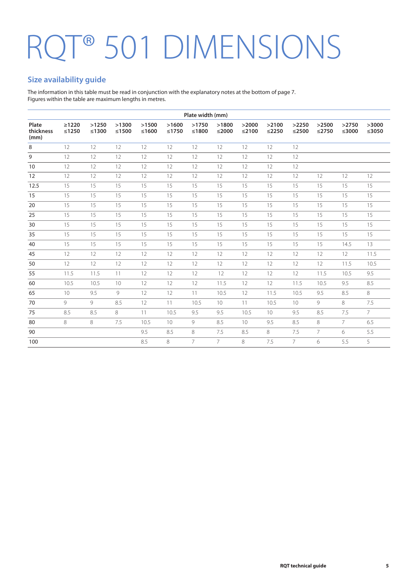## RQT<sup>®</sup> 501 DIMENSIONS

#### **Size availability guide**

The information in this table must be read in conjunction with the explanatory notes at the bottom of page 7. Figures within the table are maximum lengths in metres.

|                            |                        |                  |                  |                  |                  | Plate width (mm) |                  |                  |                  |                  |                  |                |                      |
|----------------------------|------------------------|------------------|------------------|------------------|------------------|------------------|------------------|------------------|------------------|------------------|------------------|----------------|----------------------|
| Plate<br>thickness<br>(mm) | $\geq 1220$<br>$≤1250$ | >1250<br>$≤1300$ | >1300<br>$≤1500$ | >1500<br>$≤1600$ | >1600<br>$≤1750$ | >1750<br>≤1800   | >1800<br>$≤2000$ | >2000<br>$≤2100$ | >2100<br>$≤2250$ | >2250<br>$≤2500$ | >2500<br>$≤2750$ | >2750<br>≤3000 | >3000<br>$\leq$ 3050 |
| 8                          | 12                     | 12               | 12               | 12               | 12               | 12               | 12               | 12               | 12               | 12               |                  |                |                      |
| 9                          | 12                     | 12               | 12               | 12               | 12               | 12               | 12               | 12               | 12               | 12               |                  |                |                      |
| 10                         | 12                     | 12               | 12               | 12               | 12               | 12               | 12               | 12               | 12               | 12               |                  |                |                      |
| 12                         | 12                     | 12               | 12               | 12               | 12               | 12               | 12               | 12               | 12               | 12               | 12               | 12             | 12                   |
| 12.5                       | 15                     | 15               | 15               | 15               | 15               | 15               | 15               | 15               | 15               | 15               | 15               | 15             | 15                   |
| 15                         | 15                     | 15               | 15               | 15               | 15               | 15               | 15               | 15               | 15               | 15               | 15               | 15             | 15                   |
| 20                         | 15                     | 15               | 15               | 15               | 15               | 15               | 15               | 15               | 15               | 15               | 15               | 15             | 15                   |
| 25                         | 15                     | 15               | 15               | 15               | 15               | 15               | 15               | 15               | 15               | 15               | 15               | 15             | 15                   |
| 30                         | 15                     | 15               | 15               | 15               | 15               | 15               | 15               | 15               | 15               | 15               | 15               | 15             | 15                   |
| 35                         | 15                     | 15               | 15               | 15               | 15               | 15               | 15               | 15               | 15               | 15               | 15               | 15             | 15                   |
| 40                         | 15                     | 15               | 15               | 15               | 15               | 15               | 15               | 15               | 15               | 15               | 15               | 14.5           | 13                   |
| 45                         | 12                     | 12               | 12               | 12               | 12               | 12               | 12               | 12               | 12               | 12               | 12               | 12             | 11.5                 |
| 50                         | 12                     | 12               | 12               | 12               | 12               | 12               | 12               | 12               | 12               | 12               | 12               | 11.5           | 10.5                 |
| 55                         | 11.5                   | 11.5             | 11               | 12               | 12               | 12               | 12               | 12               | 12               | 12               | 11.5             | 10.5           | 9.5                  |
| 60                         | 10.5                   | 10.5             | 10               | 12               | 12               | 12               | 11.5             | 12               | 12               | 11.5             | 10.5             | 9.5            | 8.5                  |
| 65                         | 10 <sup>°</sup>        | 9.5              | 9                | 12               | 12               | 11               | 10.5             | 12               | 11.5             | 10.5             | 9.5              | 8.5            | 8                    |
| 70                         | 9                      | 9                | 8.5              | 12               | 11               | 10.5             | 10 <sup>°</sup>  | 11               | 10.5             | 10               | 9                | 8              | 7.5                  |
| 75                         | 8.5                    | 8.5              | 8                | 11               | 10.5             | 9.5              | 9.5              | 10.5             | 10               | 9.5              | 8.5              | 7.5            | $\overline{7}$       |
| 80                         | 8                      | 8                | 7.5              | 10.5             | 10               | 9                | 8.5              | 10               | 9.5              | 8.5              | 8                | $\overline{7}$ | 6.5                  |
| 90                         |                        |                  |                  | 9.5              | 8.5              | 8                | 7.5              | 8.5              | 8                | 7.5              | $\overline{7}$   | 6              | 5.5                  |
| 100                        |                        |                  |                  | 8.5              | 8                | $\overline{7}$   | $\overline{7}$   | 8                | 7.5              | $\overline{7}$   | 6                | 5.5            | 5                    |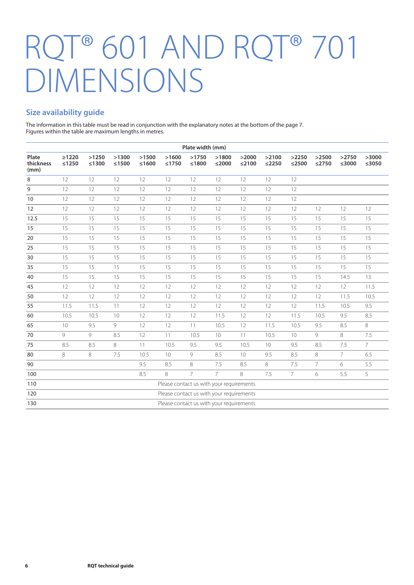### RQT® 601 AND RQT® 701 DIMENSIONS

#### **Size availability guide**

The information in this table must be read in conjunction with the explanatory notes at the bottom of the page 7. Figures within the table are maximum lengths in metres.

|                            |                                          |                  |                      |                  |                                          | Plate width (mm) |                   |                  |                      |                      |                      |                      |                      |
|----------------------------|------------------------------------------|------------------|----------------------|------------------|------------------------------------------|------------------|-------------------|------------------|----------------------|----------------------|----------------------|----------------------|----------------------|
| Plate<br>thickness<br>(mm) | $\geq 1220$<br>$≤1250$                   | >1250<br>$≤1300$ | >1300<br>$\leq 1500$ | >1500<br>$≤1600$ | >1600<br>$≤1750$                         | >1750<br>$≤1800$ | >1800<br>$≤$ 2000 | >2000<br>$≤2100$ | >2100<br>$\leq$ 2250 | >2250<br>$\leq$ 2500 | >2500<br>$\leq$ 2750 | >2750<br>$\leq$ 3000 | >3000<br>$\leq$ 3050 |
| 8                          | 12                                       | 12               | 12                   | 12               | 12                                       | 12               | 12                | 12               | 12                   | 12                   |                      |                      |                      |
| 9                          | 12                                       | 12               | 12                   | 12               | 12                                       | 12               | 12                | 12               | 12                   | 12                   |                      |                      |                      |
| 10                         | 12                                       | 12               | 12                   | 12               | 12                                       | 12               | 12                | 12               | 12                   | 12                   |                      |                      |                      |
| 12                         | 12                                       | 12               | 12                   | 12               | 12                                       | 12               | 12                | 12               | 12                   | 12                   | 12                   | 12                   | 12                   |
| 12.5                       | 15                                       | 15               | 15                   | 15               | 15                                       | 15               | 15                | 15               | 15                   | 15                   | 15                   | 15                   | 15                   |
| 15                         | 15                                       | 15               | 15                   | 15               | 15                                       | 15               | 15                | 15               | 15                   | 15                   | 15                   | 15                   | 15                   |
| 20                         | 15                                       | 15               | 15                   | 15               | 15                                       | 15               | 15                | 15               | 15                   | 15                   | 15                   | 15                   | 15                   |
| 25                         | 15                                       | 15               | 15                   | 15               | 15                                       | 15               | 15                | 15               | 15                   | 15                   | 15                   | 15                   | 15                   |
| 30                         | 15                                       | 15               | 15                   | 15               | 15                                       | 15               | 15                | 15               | 15                   | 15                   | 15                   | 15                   | 15                   |
| 35                         | 15                                       | 15               | 15                   | 15               | 15                                       | 15               | 15                | 15               | 15                   | 15                   | 15                   | 15                   | 15                   |
| 40                         | 15                                       | 15               | 15                   | 15               | 15                                       | 15               | 15                | 15               | 15                   | 15                   | 15                   | 14.5                 | 13                   |
| 45                         | 12                                       | 12               | 12                   | 12               | 12                                       | 12               | 12                | 12               | 12                   | 12                   | 12                   | 12                   | 11.5                 |
| 50                         | 12                                       | 12               | 12                   | 12               | 12                                       | 12               | 12                | 12               | 12                   | 12                   | 12                   | 11.5                 | 10.5                 |
| 55                         | 11.5                                     | 11.5             | 11                   | 12               | 12                                       | 12               | 12                | 12               | 12                   | 12                   | 11.5                 | 10.5                 | 9.5                  |
| 60                         | 10.5                                     | 10.5             | 10                   | 12               | 12                                       | 12               | 11.5              | 12               | 12                   | 11.5                 | 10.5                 | 9.5                  | 8.5                  |
| 65                         | 10                                       | 9.5              | 9                    | 12               | 12                                       | 11               | 10.5              | 12               | 11.5                 | 10.5                 | 9.5                  | 8.5                  | 8                    |
| 70                         | 9                                        | 9                | 8.5                  | 12               | 11                                       | 10.5             | 10 <sup>°</sup>   | 11               | 10.5                 | 10 <sup>°</sup>      | 9                    | 8                    | 7.5                  |
| 75                         | 8.5                                      | 8.5              | 8                    | 11               | 10.5                                     | 9.5              | 9.5               | 10.5             | 10                   | 9.5                  | 8.5                  | 7.5                  | $7^{\circ}$          |
| 80                         | 8                                        | 8                | 7.5                  | 10.5             | 10                                       | 9                | 8.5               | 10 <sup>°</sup>  | 9.5                  | 8.5                  | 8                    | $\overline{7}$       | 6.5                  |
| 90                         |                                          |                  |                      | 9.5              | 8.5                                      | 8                | 7.5               | 8.5              | 8                    | 7.5                  | $\overline{7}$       | 6                    | 5.5                  |
| 100                        |                                          |                  |                      | 8.5              | 8                                        | 7                | $\overline{7}$    | 8                | 7.5                  | $7^{\circ}$          | 6                    | 5.5                  | 5                    |
| 110                        |                                          |                  |                      |                  | Please contact us with your requirements |                  |                   |                  |                      |                      |                      |                      |                      |
| 120                        |                                          |                  |                      |                  | Please contact us with your requirements |                  |                   |                  |                      |                      |                      |                      |                      |
| 130                        | Please contact us with your requirements |                  |                      |                  |                                          |                  |                   |                  |                      |                      |                      |                      |                      |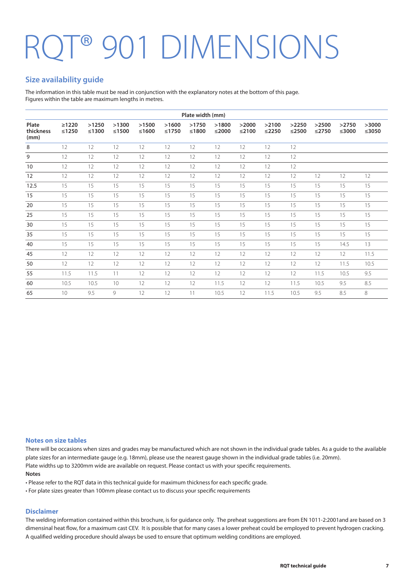## <sup>T®</sup> 901 DIMENSIONS

#### **Size availability guide**

The information in this table must be read in conjunction with the explanatory notes at the bottom of this page. Figures within the table are maximum lengths in metres.

|                            |                        |                |                |                |                  | Plate width (mm) |                  |                  |                  |                  |                  |                  |                  |
|----------------------------|------------------------|----------------|----------------|----------------|------------------|------------------|------------------|------------------|------------------|------------------|------------------|------------------|------------------|
| Plate<br>thickness<br>(mm) | $\geq 1220$<br>$≤1250$ | >1250<br>≤1300 | >1300<br>≤1500 | >1500<br>≤1600 | >1600<br>$≤1750$ | >1750<br>≤1800   | >1800<br>$≤2000$ | >2000<br>$≤2100$ | >2100<br>$≤2250$ | >2250<br>$≤2500$ | >2500<br>$≤2750$ | >2750<br>$≤3000$ | >3000<br>$≤3050$ |
| 8                          | 12                     | 12             | 12             | 12             | 12               | 12               | 12               | 12               | 12               | 12               |                  |                  |                  |
| 9                          | 12                     | 12             | 12             | 12             | 12               | 12               | 12               | 12               | 12               | 12               |                  |                  |                  |
| 10                         | 12                     | 12             | 12             | 12             | 12               | 12               | 12               | 12               | 12               | 12               |                  |                  |                  |
| 12                         | 12                     | 12             | 12             | 12             | 12               | 12               | 12               | 12               | 12               | 12               | 12               | 12               | 12               |
| 12.5                       | 15                     | 15             | 15             | 15             | 15               | 15               | 15               | 15               | 15               | 15               | 15               | 15               | 15               |
| 15                         | 15                     | 15             | 15             | 15             | 15               | 15               | 15               | 15               | 15               | 15               | 15               | 15               | 15               |
| 20                         | 15                     | 15             | 15             | 15             | 15               | 15               | 15               | 15               | 15               | 15               | 15               | 15               | 15               |
| 25                         | 15                     | 15             | 15             | 15             | 15               | 15               | 15               | 15               | 15               | 15               | 15               | 15               | 15               |
| 30                         | 15                     | 15             | 15             | 15             | 15               | 15               | 15               | 15               | 15               | 15               | 15               | 15               | 15               |
| 35                         | 15                     | 15             | 15             | 15             | 15               | 15               | 15               | 15               | 15               | 15               | 15               | 15               | 15               |
| 40                         | 15                     | 15             | 15             | 15             | 15               | 15               | 15               | 15               | 15               | 15               | 15               | 14.5             | 13               |
| 45                         | 12                     | 12             | 12             | 12             | 12               | 12               | 12               | 12               | 12               | 12               | 12               | 12               | 11.5             |
| 50                         | $12 \overline{ }$      | 12             | 12             | 12             | 12               | 12               | 12               | 12               | 12               | 12               | 12               | 11.5             | 10.5             |
| 55                         | 11.5                   | 11.5           | 11             | 12             | 12               | 12               | 12               | 12               | 12               | 12               | 11.5             | 10.5             | 9.5              |
| 60                         | 10.5                   | 10.5           | 10             | 12             | 12               | 12               | 11.5             | 12               | 12               | 11.5             | 10.5             | 9.5              | 8.5              |
| 65                         | 10 <sup>°</sup>        | 9.5            | 9              | 12             | 12               | 11               | 10.5             | 12               | 11.5             | 10.5             | 9.5              | 8.5              | 8                |

#### **Notes on size tables**

There will be occasions when sizes and grades may be manufactured which are not shown in the individual grade tables. As a guide to the available plate sizes for an intermediate gauge (e.g. 18mm), please use the nearest gauge shown in the individual grade tables (i.e. 20mm). Plate widths up to 3200mm wide are available on request. Please contact us with your specific requirements.

#### **Notes**

• Please refer to the RQT data in this technical guide for maximum thickness for each specific grade.

• For plate sizes greater than 100mm please contact us to discuss your specific requirements

#### **Disclaimer**

The welding information contained within this brochure, is for guidance only. The preheat suggestions are from EN 1011-2:2001and are based on 3 dimensinal heat flow, for a maximum cast CEV. It is possible that for many cases a lower preheat could be employed to prevent hydrogen cracking. A qualified welding procedure should always be used to ensure that optimum welding conditions are employed.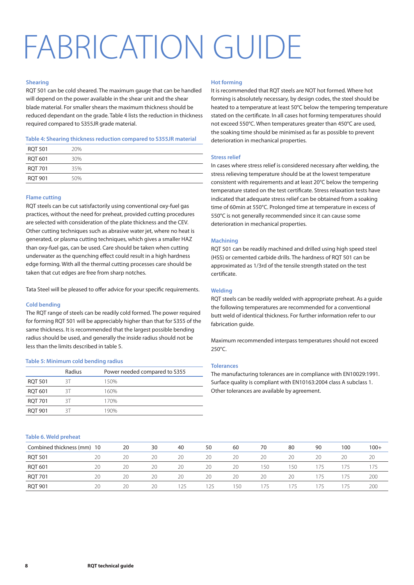## FABRICATION GUIDE

#### **Shearing**

RQT 501 can be cold sheared. The maximum gauge that can be handled will depend on the power available in the shear unit and the shear blade material. For smaller shears the maximum thickness should be reduced dependant on the grade. Table 4 lists the reduction in thickness required compared to S355JR grade material.

#### **Table 4: Shearing thickness reduction compared to S355JR material**

| <b>RQT 501</b> | 20% |  |
|----------------|-----|--|
| RQT 601        | 30% |  |
| <b>RQT 701</b> | 35% |  |
| <b>RQT 901</b> | 50% |  |

#### **Flame cutting**

RQT steels can be cut satisfactorily using conventional oxy-fuel gas practices, without the need for preheat, provided cutting procedures are selected with consideration of the plate thickness and the CEV. Other cutting techniques such as abrasive water jet, where no heat is generated, or plasma cutting techniques, which gives a smaller HAZ than oxy-fuel gas, can be used. Care should be taken when cutting underwater as the quenching effect could result in a high hardness edge forming. With all the thermal cutting processes care should be taken that cut edges are free from sharp notches.

Tata Steel will be pleased to offer advice for your specific requirements.

#### **Cold bending**

The RQT range of steels can be readily cold formed. The power required for forming RQT 501 will be appreciably higher than that for S355 of the same thickness. It is recommended that the largest possible bending radius should be used, and generally the inside radius should not be less than the limits described in table 5.

#### **Table 5: Minimum cold bending radius**

|                | Radius | Power needed compared to S355 |
|----------------|--------|-------------------------------|
| <b>RQT 501</b> | RТ     | 150%                          |
| <b>ROT 601</b> | RТ     | 160%                          |
| <b>RQT 701</b> | RT     | 170%                          |
| <b>ROT 901</b> | RT     | 190%                          |

#### **Table 6. Weld preheat**

#### **Hot forming**

It is recommended that RQT steels are NOT hot formed. Where hot forming is absolutely necessary, by design codes, the steel should be heated to a temperature at least 50°C below the tempering temperature stated on the certificate. In all cases hot forming temperatures should not exceed 550°C. When temperatures greater than 450°C are used, the soaking time should be minimised as far as possible to prevent deterioration in mechanical properties.

#### **Stress relief**

In cases where stress relief is considered necessary after welding, the stress relieving temperature should be at the lowest temperature consistent with requirements and at least 20°C below the tempering temperature stated on the test certificate. Stress relaxation tests have indicated that adequate stress relief can be obtained from a soaking time of 60min at 550°C. Prolonged time at temperature in excess of 550°C is not generally recommended since it can cause some deterioration in mechanical properties.

#### **Machining**

RQT 501 can be readily machined and drilled using high speed steel (HSS) or cemented carbide drills. The hardness of RQT 501 can be approximated as 1/3rd of the tensile strength stated on the test certificate.

#### **Welding**

RQT steels can be readily welded with appropriate preheat. As a guide the following temperatures are recommended for a conventional butt weld of identical thickness. For further information refer to our fabrication guide.

Maximum recommended interpass temperatures should not exceed 250°C.

#### **Tolerances**

The manufacturing tolerances are in compliance with EN10029:1991. Surface quality is compliant with EN10163:2004 class A subclass 1. Other tolerances are available by agreement.

| Combined thickness (mm) 10 |    | 20 | 30 | 40 | 50  | 60  | 70  | 80   | 90  | 100 | $100+$ |
|----------------------------|----|----|----|----|-----|-----|-----|------|-----|-----|--------|
| <b>RQT 501</b>             | 20 | 20 | 20 | 20 | 20  | 20  | 20  | 20   | 20  | 20  | 20     |
| <b>RQT 601</b>             | 20 | 20 | 20 | 20 | 20  | 20  | 150 | ' 50 | 175 | 175 | 175    |
| <b>RQT 701</b>             | 20 | 20 | 20 | 20 | 20  | 20  | 20  | 20   | 175 | 175 | 200    |
| <b>RQT 901</b>             | 20 | 20 | 20 | 25 | 125 | 150 | 175 | 75   | 75  | 175 | 200    |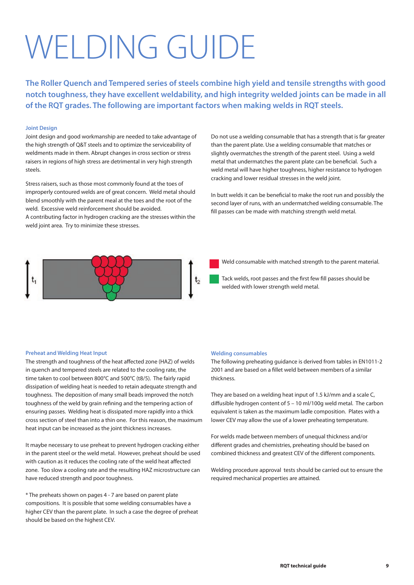## WELDING GUIDE

**The Roller Quench and Tempered series of steels combine high yield and tensile strengths with good notch toughness, they have excellent weldability, and high integrity welded joints can be made in all of the RQT grades. The following are important factors when making welds in RQT steels.**

#### **Joint Design**

Joint design and good workmanship are needed to take advantage of the high strength of Q&T steels and to optimize the serviceability of weldments made in them. Abrupt changes in cross section or stress raisers in regions of high stress are detrimental in very high strength steels.

Stress raisers, such as those most commonly found at the toes of improperly contoured welds are of great concern. Weld metal should blend smoothly with the parent meal at the toes and the root of the weld. Excessive weld reinforcement should be avoided. A contributing factor in hydrogen cracking are the stresses within the weld joint area. Try to minimize these stresses.

Do not use a welding consumable that has a strength that is far greater than the parent plate. Use a welding consumable that matches or slightly overmatches the strength of the parent steel. Using a weld metal that undermatches the parent plate can be beneficial. Such a weld metal will have higher toughness, higher resistance to hydrogen cracking and lower residual stresses in the weld joint.

In butt welds it can be beneficial to make the root run and possibly the second layer of runs, with an undermatched welding consumable. The fill passes can be made with matching strength weld metal.



Weld consumable with matched strength to the parent material.

Tack welds, root passes and the first few fill passes should be welded with lower strength weld metal.

#### **Preheat and Welding Heat Input**

The strength and toughness of the heat affected zone (HAZ) of welds in quench and tempered steels are related to the cooling rate, the time taken to cool between 800°C and 500°C (t8/5). The fairly rapid dissipation of welding heat is needed to retain adequate strength and toughness. The deposition of many small beads improved the notch toughness of the weld by grain refining and the tempering action of ensuring passes. Welding heat is dissipated more rapidly into a thick cross section of steel than into a thin one. For this reason, the maximum heat input can be increased as the joint thickness increases.

It maybe necessary to use preheat to prevent hydrogen cracking either in the parent steel or the weld metal. However, preheat should be used with caution as it reduces the cooling rate of the weld heat affected zone. Too slow a cooling rate and the resulting HAZ microstructure can have reduced strength and poor toughness.

\* The preheats shown on pages 4 - 7 are based on parent plate compositions. It is possible that some welding consumables have a higher CEV than the parent plate. In such a case the degree of preheat should be based on the highest CEV.

#### **Welding consumables**

The following preheating guidance is derived from tables in EN1011-2 2001 and are based on a fillet weld between members of a similar thickness.

They are based on a welding heat input of 1.5 kJ/mm and a scale C, diffusible hydrogen content of 5 – 10 ml/100g weld metal. The carbon equivalent is taken as the maximum ladle composition. Plates with a lower CEV may allow the use of a lower preheating temperature.

For welds made between members of unequal thickness and/or different grades and chemistries, preheating should be based on combined thickness and greatest CEV of the different components.

Welding procedure approval tests should be carried out to ensure the required mechanical properties are attained.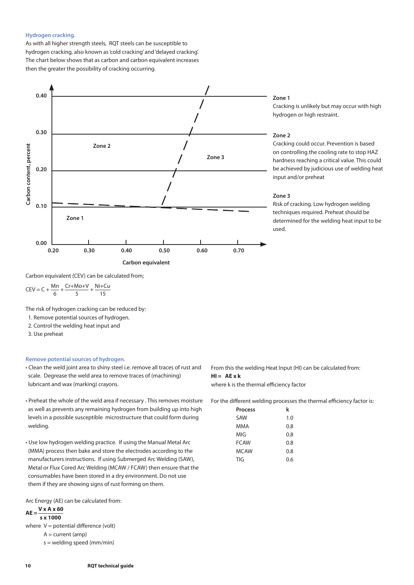#### **Hydrogen cracking.**

As with all higher strength steels, RQT steels can be susceptible to hydrogen cracking, also known as 'cold cracking' and 'delayed cracking'. The chart below shows that as carbon and carbon equivalent increases then the greater the possibility of cracking occurring.



#### **Zone 1**

Cracking is unlikely but may occur with high hydrogen or high restraint.

#### **Zone 2**

Cracking could occur. Prevention is based on controlling the cooling rate to stop HAZ hardness reaching a critical value. This could be achieved by judicious use of welding heat input and/or preheat

#### **Zone 3**

Risk of cracking. Low hydrogen welding techniques required. Preheat should be determined for the welding heat input to be used.

Carbon equivalent (CEV) can be calculated from;

 $\frac{Mn}{f} + \frac{Cr + Mo + V}{F} + \frac{Ni + Cu}{15}$ CEV = C +  $\frac{m_1}{6}$  +  $\frac{c_1 + m_2 + c_3}{5}$  +  $\frac{m_1 + m_2 + c_4}{15}$ 

The risk of hydrogen cracking can be reduced by:

1. Remove potential sources of hydrogen.

2. Control the welding heat input and

3. Use preheat

#### **Remove potential sources of hydrogen.**

- Clean the weld joint area to shiny steel i.e. remove all traces of rust and scale. Degrease the weld area to remove traces of (machining) lubricant and wax (marking) crayons.
- Preheat the whole of the weld area if necessary . This removes moisture as well as prevents any remaining hydrogen from building up into high levels in a possible susceptible microstructure that could form during welding.
- Use low hydrogen welding practice. If using the Manual Metal Arc (MMA) process then bake and store the electrodes according to the manufacturers instructions. If using Submerged Arc Welding (SAW), Metal or Flux Cored Arc Welding (MCAW / FCAW) then ensure that the consumables have been stored in a dry environment. Do not use them if they are showing signs of rust forming on them.

Arc Energy (AE) can be calculated from:

### $AE = \frac{V \times A \times 60}{V}$

 **s x 1000**  where  $V =$  potential difference (volt)

 $A = current (amp)$ 

s = welding speed (mm/min)

From this the welding Heat Input (HI) can be calculated from: **HI = AE x k**

where k is the thermal efficiency factor

For the different welding processes the thermal efficiency factor is:

| <b>Process</b> | k   |
|----------------|-----|
| <b>SAW</b>     | 1.0 |
| MMA            | 0.8 |
| MIG            | 0.8 |
| <b>FCAW</b>    | 0.8 |
| <b>MCAW</b>    | 0.8 |
| TIG            | 0.6 |
|                |     |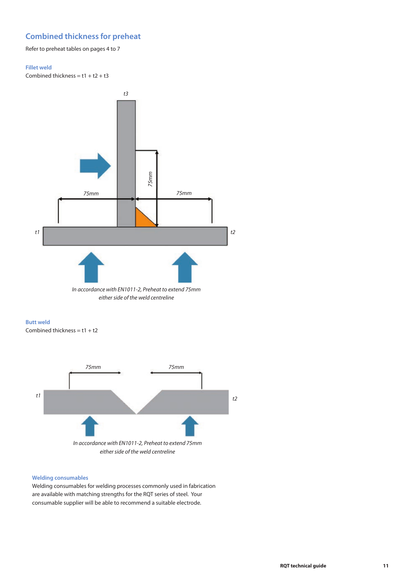#### **Combined thickness for preheat**

Refer to preheat tables on pages 4 to 7

#### **Fillet weld**

Combined thickness =  $t1 + t2 + t3$ 



#### **Butt weld**

Combined thickness =  $t1 + t2$ 



#### **Welding consumables**

Welding consumables for welding processes commonly used in fabrication are available with matching strengths for the RQT series of steel. Your consumable supplier will be able to recommend a suitable electrode.